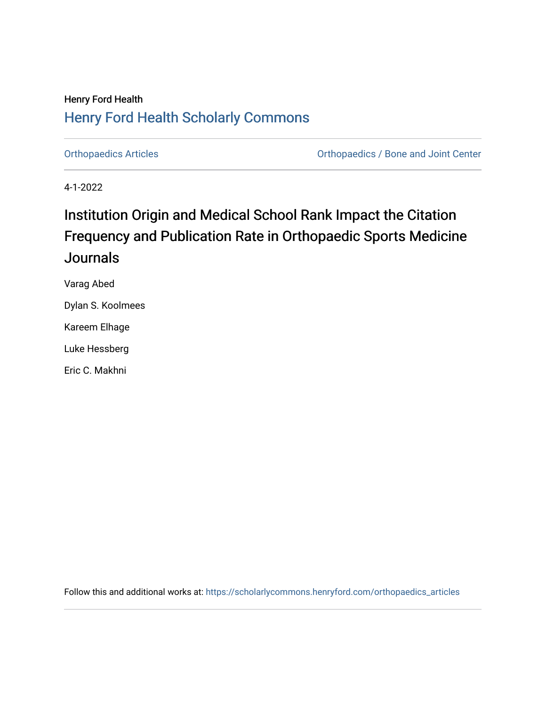## Henry Ford Health [Henry Ford Health Scholarly Commons](https://scholarlycommons.henryford.com/)

[Orthopaedics Articles](https://scholarlycommons.henryford.com/orthopaedics_articles) [Orthopaedics / Bone and Joint Center](https://scholarlycommons.henryford.com/orthopaedics) 

4-1-2022

# Institution Origin and Medical School Rank Impact the Citation Frequency and Publication Rate in Orthopaedic Sports Medicine **Journals**

Varag Abed

Dylan S. Koolmees

Kareem Elhage

Luke Hessberg

Eric C. Makhni

Follow this and additional works at: [https://scholarlycommons.henryford.com/orthopaedics\\_articles](https://scholarlycommons.henryford.com/orthopaedics_articles?utm_source=scholarlycommons.henryford.com%2Forthopaedics_articles%2F407&utm_medium=PDF&utm_campaign=PDFCoverPages)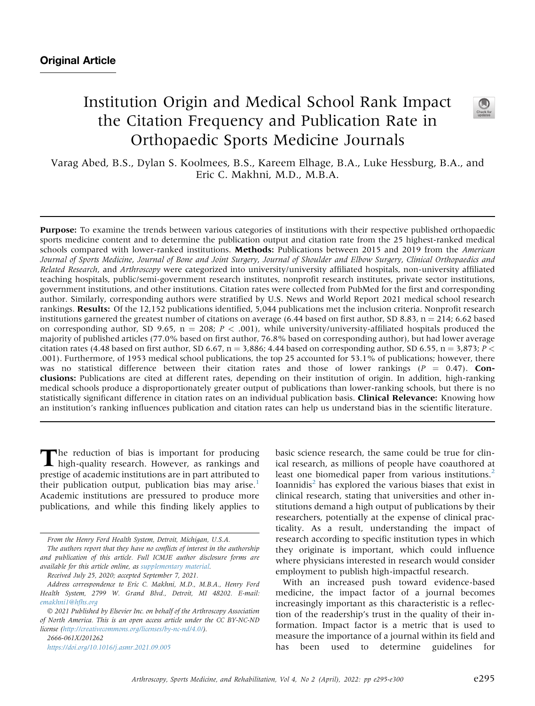## Institution Origin and Medical School Rank Impact the Citation Frequency and Publication Rate in Orthopaedic Sports Medicine Journals



Varag Abed, B.S., Dylan S. Koolmees, B.S., Kareem Elhage, B.A., Luke Hessburg, B.A., and Eric C. Makhni, M.D., M.B.A.

Purpose: To examine the trends between various categories of institutions with their respective published orthopaedic sports medicine content and to determine the publication output and citation rate from the 25 highest-ranked medical schools compared with lower-ranked institutions. Methods: Publications between 2015 and 2019 from the American Journal of Sports Medicine, Journal of Bone and Joint Surgery, Journal of Shoulder and Elbow Surgery, Clinical Orthopaedics and Related Research, and Arthroscopy were categorized into university/university affiliated hospitals, non-university affiliated teaching hospitals, public/semi-government research institutes, nonprofit research institutes, private sector institutions, government institutions, and other institutions. Citation rates were collected from PubMed for the first and corresponding author. Similarly, corresponding authors were stratified by U.S. News and World Report 2021 medical school research rankings. Results: Of the 12,152 publications identified, 5,044 publications met the inclusion criteria. Nonprofit research institutions garnered the greatest number of citations on average (6.44 based on first author, SD 8.83,  $n = 214$ ; 6.62 based on corresponding author, SD 9.65,  $n = 208$ ;  $P < .001$ ), while university/university-affiliated hospitals produced the majority of published articles (77.0% based on first author, 76.8% based on corresponding author), but had lower average citation rates (4.48 based on first author, SD 6.67, n = 3,886; 4.44 based on corresponding author, SD 6.55, n = 3,873; P < .001). Furthermore, of 1953 medical school publications, the top 25 accounted for 53.1% of publications; however, there was no statistical difference between their citation rates and those of lower rankings ( $P = 0.47$ ). Conclusions: Publications are cited at different rates, depending on their institution of origin. In addition, high-ranking medical schools produce a disproportionately greater output of publications than lower-ranking schools, but there is no statistically significant difference in citation rates on an individual publication basis. Clinical Relevance: Knowing how an institution's ranking influences publication and citation rates can help us understand bias in the scientific literature.

The reduction of bias is important for producing high-quality research. However, as rankings and prestige of academic institutions are in part attributed to their publication output, publication bias may arise. $<sup>1</sup>$  $<sup>1</sup>$  $<sup>1</sup>$ </sup> Academic institutions are pressured to produce more publications, and while this finding likely applies to

2666-061X/201262

<https://doi.org/10.1016/j.asmr.2021.09.005>

basic science research, the same could be true for clinical research, as millions of people have coauthored at least one biomedical paper from various institutions.<sup>[2](#page-6-1)</sup> Ioannidis $<sup>2</sup>$  $<sup>2</sup>$  $<sup>2</sup>$  has explored the various biases that exist in</sup> clinical research, stating that universities and other institutions demand a high output of publications by their researchers, potentially at the expense of clinical practicality. As a result, understanding the impact of research according to specific institution types in which they originate is important, which could influence where physicians interested in research would consider employment to publish high-impactful research.

With an increased push toward evidence-based medicine, the impact factor of a journal becomes increasingly important as this characteristic is a reflection of the readership's trust in the quality of their information. Impact factor is a metric that is used to measure the importance of a journal within its field and has been used to determine guidelines for

From the Henry Ford Health System, Detroit, Michigan, U.S.A.

The authors report that they have no conflicts of interest in the authorship and publication of this article. Full ICMJE author disclosure forms are available for this article online, as supplementary material.

Received July 25, 2020; accepted September 7, 2021.

Address correspondence to Eric C. Makhni, M.D., M.B.A., Henry Ford Health System, 2799 W. Grand Blvd., Detroit, MI 48202. E-mail: [emakhni1@hfhs.org](mailto:emakhni1@hfhs.org)

2021 Published by Elsevier Inc. on behalf of the Arthroscopy Association of North America. This is an open access article under the CC BY-NC-ND license (<http://creativecommons.org/licenses/by-nc-nd/4.0/>).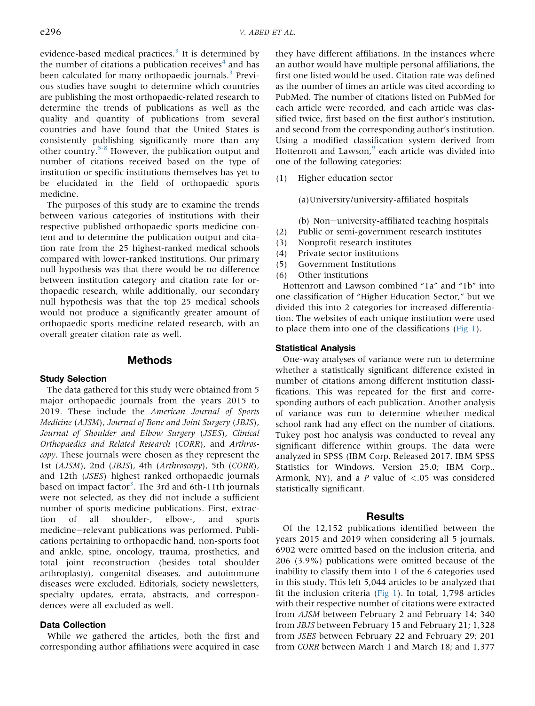evidence-based medical practices.<sup>[3](#page-6-2)</sup> It is determined by the number of citations a publication receives $4$  and has been calculated for many orthopaedic journals.<sup>[3](#page-6-2)</sup> Previous studies have sought to determine which countries are publishing the most orthopaedic-related research to determine the trends of publications as well as the quality and quantity of publications from several countries and have found that the United States is consistently publishing significantly more than any other country. $5-8$  However, the publication output and number of citations received based on the type of institution or specific institutions themselves has yet to be elucidated in the field of orthopaedic sports medicine.

The purposes of this study are to examine the trends between various categories of institutions with their respective published orthopaedic sports medicine content and to determine the publication output and citation rate from the 25 highest-ranked medical schools compared with lower-ranked institutions. Our primary null hypothesis was that there would be no difference between institution category and citation rate for orthopaedic research, while additionally, our secondary null hypothesis was that the top 25 medical schools would not produce a significantly greater amount of orthopaedic sports medicine related research, with an overall greater citation rate as well.

#### **Methods**

#### Study Selection

The data gathered for this study were obtained from 5 major orthopaedic journals from the years 2015 to 2019. These include the American Journal of Sports Medicine (AJSM), Journal of Bone and Joint Surgery (JBJS), Journal of Shoulder and Elbow Surgery (JSES), Clinical Orthopaedics and Related Research (CORR), and Arthroscopy. These journals were chosen as they represent the 1st (AJSM), 2nd (JBJS), 4th (Arthroscopy), 5th (CORR), and 12th (JSES) highest ranked orthopaedic journals based on impact factor<sup>[3](#page-6-2)</sup>. The 3rd and 6th-11th journals were not selected, as they did not include a sufficient number of sports medicine publications. First, extraction of all shoulder-, elbow-, and sports medicine-relevant publications was performed. Publications pertaining to orthopaedic hand, non-sports foot and ankle, spine, oncology, trauma, prosthetics, and total joint reconstruction (besides total shoulder arthroplasty), congenital diseases, and autoimmune diseases were excluded. Editorials, society newsletters, specialty updates, errata, abstracts, and correspondences were all excluded as well.

## Data Collection

While we gathered the articles, both the first and corresponding author affiliations were acquired in case

they have different affiliations. In the instances where an author would have multiple personal affiliations, the first one listed would be used. Citation rate was defined as the number of times an article was cited according to PubMed. The number of citations listed on PubMed for each article were recorded, and each article was classified twice, first based on the first author's institution, and second from the corresponding author's institution. Using a modified classification system derived from Hottenrott and Lawson,<sup>[9](#page-6-5)</sup> each article was divided into one of the following categories:

(1) Higher education sector

(a)University/university-affiliated hospitals

(b) Non-university-affiliated teaching hospitals (2) Public or semi-government research institutes

- (3) Nonprofit research institutes
- (4) Private sector institutions
- (5) Government Institutions
- (6) Other institutions

Hottenrott and Lawson combined "1a" and "1b" into one classification of "Higher Education Sector," but we divided this into 2 categories for increased differentiation. The websites of each unique institution were used to place them into one of the classifications ([Fig 1\)](#page-3-0).

#### Statistical Analysis

One-way analyses of variance were run to determine whether a statistically significant difference existed in number of citations among different institution classifications. This was repeated for the first and corresponding authors of each publication. Another analysis of variance was run to determine whether medical school rank had any effect on the number of citations. Tukey post hoc analysis was conducted to reveal any significant difference within groups. The data were analyzed in SPSS (IBM Corp. Released 2017. IBM SPSS Statistics for Windows, Version 25.0; IBM Corp., Armonk, NY), and a P value of  $\langle .05 \rangle$  was considered statistically significant.

### Results

Of the 12,152 publications identified between the years 2015 and 2019 when considering all 5 journals, 6902 were omitted based on the inclusion criteria, and 206 (3.9%) publications were omitted because of the inability to classify them into 1 of the 6 categories used in this study. This left 5,044 articles to be analyzed that fit the inclusion criteria ([Fig 1](#page-3-0)). In total, 1,798 articles with their respective number of citations were extracted from AJSM between February 2 and February 14; 340 from JBJS between February 15 and February 21; 1,328 from JSES between February 22 and February 29; 201 from CORR between March 1 and March 18; and 1,377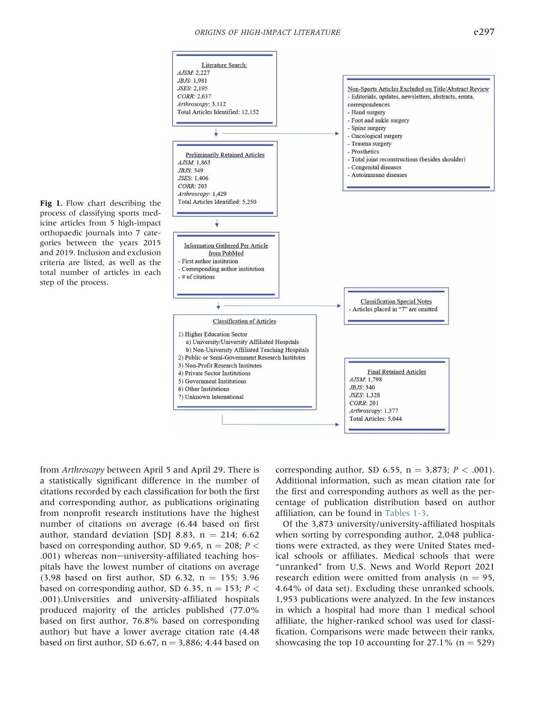<span id="page-3-0"></span>

Fig 1. Flow chart describing the process of classifying sports medicine articles from 5 high-impact orthopaedic journals into 7 categories between the years 2015 and 2019. Inclusion and exclusion criteria are listed, as well as the total number of articles in each step of the process.

from Arthroscopy between April 5 and April 29. There is a statistically significant difference in the number of citations recorded by each classification for both the first and corresponding author, as publications originating from nonprofit research institutions have the highest number of citations on average (6.44 based on first author, standard deviation [SD] 8.83,  $n = 214$ ; 6.62 based on corresponding author, SD 9.65,  $n = 208$ ;  $P \leq$ .001) whereas non-university-affiliated teaching hospitals have the lowest number of citations on average (3.98 based on first author, SD 6.32,  $n = 155$ ; 3.96 based on corresponding author, SD 6.35, n = 153;  $P \leq$ .001).Universities and university-affiliated hospitals produced majority of the articles published (77.0% based on first author, 76.8% based on corresponding author) but have a lower average citation rate (4.48 based on first author, SD 6.67,  $n = 3,886$ ; 4.44 based on corresponding author, SD 6.55,  $n = 3,873$ ;  $P < .001$ ). Additional information, such as mean citation rate for the first and corresponding authors as well as the percentage of publication distribution based on author affiliation, can be found in [Tables 1-3](#page-4-0).

Of the 3,873 university/university-affiliated hospitals when sorting by corresponding author, 2,048 publications were extracted, as they were United States medical schools or affiliates. Medical schools that were "unranked" from U.S. News and World Report 2021 research edition were omitted from analysis ( $n = 95$ , 4.64% of data set). Excluding these unranked schools, 1,953 publications were analyzed. In the few instances in which a hospital had more than 1 medical school affiliate, the higher-ranked school was used for classification. Comparisons were made between their ranks, showcasing the top 10 accounting for  $27.1\%$  (n = 529)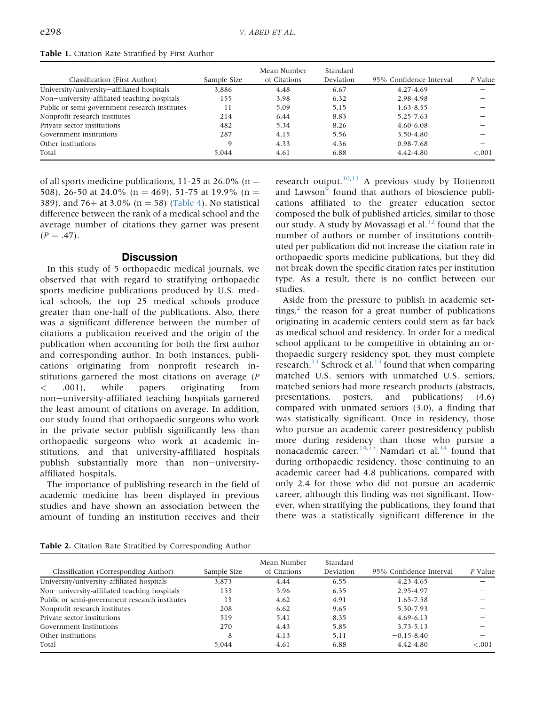|                                               |             | Mean Number  | Standard  |                         |         |
|-----------------------------------------------|-------------|--------------|-----------|-------------------------|---------|
| Classification (First Author)                 | Sample Size | of Citations | Deviation | 95% Confidence Interval | P Value |
| University/university-affiliated hospitals    | 3.886       | 4.48         | 6.67      | 4.27-4.69               |         |
| Non-university-affiliated teaching hospitals  | 155         | 3.98         | 6.32      | 2.98-4.98               |         |
| Public or semi-government research institutes | 11          | 5.09         | 5.15      | $1.63 - 8.55$           |         |
| Nonprofit research institutes                 | 214         | 6.44         | 8.83      | 5.25-7.63               |         |
| Private sector institutions                   | 482         | 5.34         | 8.26      | $4.60 - 6.08$           |         |
| Government institutions                       | 287         | 4.15         | 5.56      | 3.50-4.80               |         |
| Other institutions                            | Q           | 4.33         | 4.36      | 0.98-7.68               |         |
| Total                                         | 5.044       | 4.61         | 6.88      | 4.42-4.80               | < 0.001 |

<span id="page-4-0"></span>Table 1. Citation Rate Stratified by First Author

of all sports medicine publications, 11-25 at 26.0% (n = 508), 26-50 at 24.0% (n = 469), 51-75 at 19.9% (n = 389), and 76+ at 3.0% ( $n = 58$ ) [\(Table 4\)](#page-5-0). No statistical difference between the rank of a medical school and the average number of citations they garner was present  $(P = .47)$ .

## **Discussion**

In this study of 5 orthopaedic medical journals, we observed that with regard to stratifying orthopaedic sports medicine publications produced by U.S. medical schools, the top 25 medical schools produce greater than one-half of the publications. Also, there was a significant difference between the number of citations a publication received and the origin of the publication when accounting for both the first author and corresponding author. In both instances, publications originating from nonprofit research institutions garnered the most citations on average (P < .001), while papers originating from non-university-affiliated teaching hospitals garnered the least amount of citations on average. In addition, our study found that orthopaedic surgeons who work in the private sector publish significantly less than orthopaedic surgeons who work at academic institutions, and that university-affiliated hospitals publish substantially more than non-universityaffiliated hospitals.

The importance of publishing research in the field of academic medicine has been displayed in previous studies and have shown an association between the amount of funding an institution receives and their

research output. $10,11$  $10,11$  A previous study by Hottenrott and Lawson<sup>[9](#page-6-5)</sup> found that authors of bioscience publications affiliated to the greater education sector composed the bulk of published articles, similar to those our study. A study by Movassagi et al. $^{12}$  $^{12}$  $^{12}$  found that the number of authors or number of institutions contributed per publication did not increase the citation rate in orthopaedic sports medicine publications, but they did not break down the specific citation rates per institution type. As a result, there is no conflict between our studies.

Aside from the pressure to publish in academic settings, $\lambda^2$  $\lambda^2$  the reason for a great number of publications originating in academic centers could stem as far back as medical school and residency. In order for a medical school applicant to be competitive in obtaining an orthopaedic surgery residency spot, they must complete research.<sup>[13](#page-6-9)</sup> Schrock et al.<sup>13</sup> found that when comparing matched U.S. seniors with unmatched U.S. seniors, matched seniors had more research products (abstracts, presentations, posters, and publications) (4.6) compared with unmated seniors (3.0), a finding that was statistically significant. Once in residency, those who pursue an academic career postresidency publish more during residency than those who pursue a nonacademic career.<sup>[14](#page-6-10)[,15](#page-6-11)</sup> Namdari et al.<sup>14</sup> found that during orthopaedic residency, those continuing to an academic career had 4.8 publications, compared with only 2.4 for those who did not pursue an academic career, although this finding was not significant. However, when stratifying the publications, they found that there was a statistically significant difference in the

|  | Table 2. Citation Rate Stratified by Corresponding Author |  |  |
|--|-----------------------------------------------------------|--|--|
|  |                                                           |  |  |

| Classification (Corresponding Author)         | Sample Size | Mean Number<br>of Citations | Standard<br>Deviation | 95% Confidence Interval | P Value |
|-----------------------------------------------|-------------|-----------------------------|-----------------------|-------------------------|---------|
| University/university-affiliated hospitals    | 3.873       | 4.44                        | 6.55                  | $4.23 - 4.65$           |         |
| Non-university-affiliated teaching hospitals  | 153         | 3.96                        | 6.35                  | 2.95-4.97               |         |
| Public or semi-government research institutes | 13          | 4.62                        | 4.91                  | 1.65-7.58               |         |
| Nonprofit research institutes                 | 208         | 6.62                        | 9.65                  | 5.30-7.93               |         |
| Private sector institutions                   | 519         | 5.41                        | 8.35                  | $4.69 - 6.13$           |         |
| Government Institutions                       | 270         | 4.43                        | 5.85                  | 3.73-5.13               |         |
| Other institutions                            | 8           | 4.13                        | 5.11                  | $-0.15 - 8.40$          |         |
| Total                                         | 5.044       | 4.61                        | 6.88                  | 4.42-4.80               | < .001  |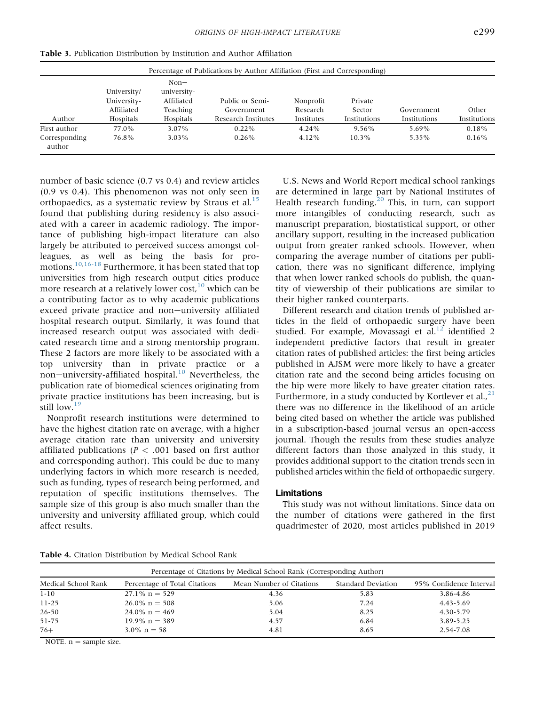| Percentage of Publications by Author Affiliation (First and Corresponding) |                                                       |                                                              |                                                      |                                     |                                   |                            |                       |
|----------------------------------------------------------------------------|-------------------------------------------------------|--------------------------------------------------------------|------------------------------------------------------|-------------------------------------|-----------------------------------|----------------------------|-----------------------|
| Author                                                                     | University/<br>University-<br>Affiliated<br>Hospitals | $Non-$<br>university-<br>Affiliated<br>Teaching<br>Hospitals | Public or Semi-<br>Government<br>Research Institutes | Nonprofit<br>Research<br>Institutes | Private<br>Sector<br>Institutions | Government<br>Institutions | Other<br>Institutions |
| First author<br>Corresponding<br>author                                    | 77.0%<br>76.8%                                        | 3.07%<br>$3.03\%$                                            | $0.22\%$<br>$0.26\%$                                 | 4.24%<br>$4.12\%$                   | 9.56%<br>$10.3\%$                 | 5.69%<br>5.35%             | 0.18%<br>$0.16\%$     |

Table 3. Publication Distribution by Institution and Author Affiliation

number of basic science (0.7 vs 0.4) and review articles (0.9 vs 0.4). This phenomenon was not only seen in orthopaedics, as a systematic review by Straus et al. $^{15}$  $^{15}$  $^{15}$ found that publishing during residency is also associated with a career in academic radiology. The importance of publishing high-impact literature can also largely be attributed to perceived success amongst colleagues, as well as being the basis for promotions.[10](#page-6-6)[,16-18](#page-6-12) Furthermore, it has been stated that top universities from high research output cities produce more research at a relatively lower cost, $10$  which can be a contributing factor as to why academic publications exceed private practice and non-university affiliated hospital research output. Similarly, it was found that increased research output was associated with dedicated research time and a strong mentorship program. These 2 factors are more likely to be associated with a top university than in private practice or a non-university-affiliated hospital.<sup>[10](#page-6-6)</sup> Nevertheless, the publication rate of biomedical sciences originating from private practice institutions has been increasing, but is still low.<sup>[19](#page-6-13)</sup>

Nonprofit research institutions were determined to have the highest citation rate on average, with a higher average citation rate than university and university affiliated publications ( $P < .001$  based on first author and corresponding author). This could be due to many underlying factors in which more research is needed, such as funding, types of research being performed, and reputation of specific institutions themselves. The sample size of this group is also much smaller than the university and university affiliated group, which could affect results.

U.S. News and World Report medical school rankings are determined in large part by National Institutes of Health research funding. $20$  This, in turn, can support more intangibles of conducting research, such as manuscript preparation, biostatistical support, or other ancillary support, resulting in the increased publication output from greater ranked schools. However, when comparing the average number of citations per publication, there was no significant difference, implying that when lower ranked schools do publish, the quantity of viewership of their publications are similar to their higher ranked counterparts.

Different research and citation trends of published articles in the field of orthopaedic surgery have been studied. For example, Movassagi et al. $^{12}$  identified 2 independent predictive factors that result in greater citation rates of published articles: the first being articles published in AJSM were more likely to have a greater citation rate and the second being articles focusing on the hip were more likely to have greater citation rates. Furthermore, in a study conducted by Kortlever et al.,  $21$ there was no difference in the likelihood of an article being cited based on whether the article was published in a subscription-based journal versus an open-access journal. Though the results from these studies analyze different factors than those analyzed in this study, it provides additional support to the citation trends seen in published articles within the field of orthopaedic surgery.

#### Limitations

This study was not without limitations. Since data on the number of citations were gathered in the first quadrimester of 2020, most articles published in 2019

<span id="page-5-0"></span>Table 4. Citation Distribution by Medical School Rank

| Percentage of Citations by Medical School Rank (Corresponding Author) |                               |                          |                    |                         |  |  |  |
|-----------------------------------------------------------------------|-------------------------------|--------------------------|--------------------|-------------------------|--|--|--|
| Medical School Rank                                                   | Percentage of Total Citations | Mean Number of Citations | Standard Deviation | 95% Confidence Interval |  |  |  |
| $1 - 10$                                                              | $27.1\%$ n = 529              | 4.36                     | 5.83               | 3.86-4.86               |  |  |  |
| $11 - 25$                                                             | $26.0\% \text{ n} = 508$      | 5.06                     | 7.24               | 4.43-5.69               |  |  |  |
| $26 - 50$                                                             | $24.0\%$ n = 469              | 5.04                     | 8.25               | 4.30-5.79               |  |  |  |
| 51-75                                                                 | $19.9\% \text{ n} = 389$      | 4.57                     | 6.84               | 3.89-5.25               |  |  |  |
| $76+$                                                                 | $3.0\% \text{ n} = 58$        | 4.81                     | 8.65               | 2.54-7.08               |  |  |  |

NOTE.  $n =$  sample size.